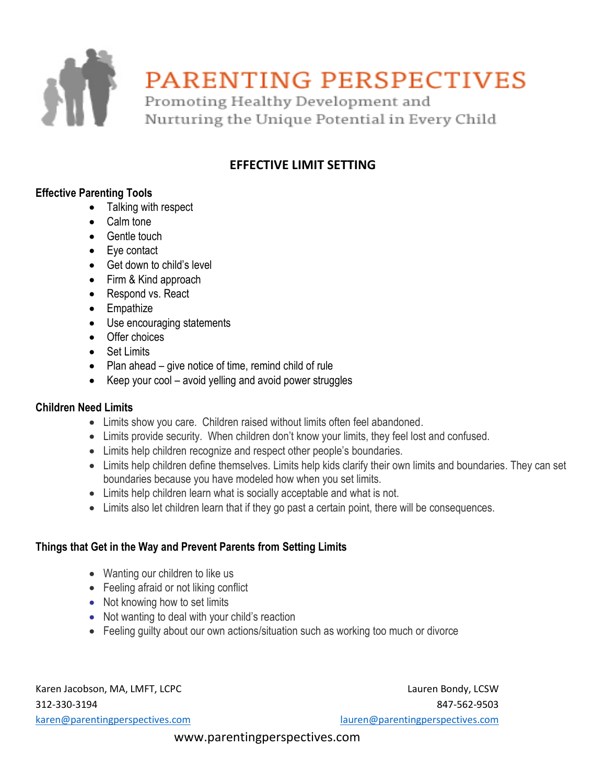

# **EFFECTIVE LIMIT SETTING**

### **Effective Parenting Tools**

- Talking with respect
- Calm tone
- Gentle touch
- Eye contact
- Get down to child's level
- Firm & Kind approach
- Respond vs. React
- Empathize
- Use encouraging statements
- Offer choices
- Set Limits
- Plan ahead give notice of time, remind child of rule
- Keep your cool avoid yelling and avoid power struggles

#### **Children Need Limits**

- Limits show you care. Children raised without limits often feel abandoned.
- Limits provide security. When children don't know your limits, they feel lost and confused.
- Limits help children recognize and respect other people's boundaries.
- Limits help children define themselves. Limits help kids clarify their own limits and boundaries. They can set boundaries because you have modeled how when you set limits.
- Limits help children learn what is socially acceptable and what is not.
- Limits also let children learn that if they go past a certain point, there will be consequences.

#### **Things that Get in the Way and Prevent Parents from Setting Limits**

- Wanting our children to like us
- Feeling afraid or not liking conflict
- Not knowing how to set limits
- Not wanting to deal with your child's reaction
- Feeling guilty about our own actions/situation such as working too much or divorce

Karen Jacobson, MA, LMFT, LCPC Lauren Bondy, LCSW Lauren Bondy, LCSW 312-330-3194 847-562-9503 [karen@parentingperspectives.com](mailto:karen@parentingperspectives.com) [lauren@parentingperspectives.com](mailto:lauren@parentingperspectives.com)

#### www.parentingperspectives.com